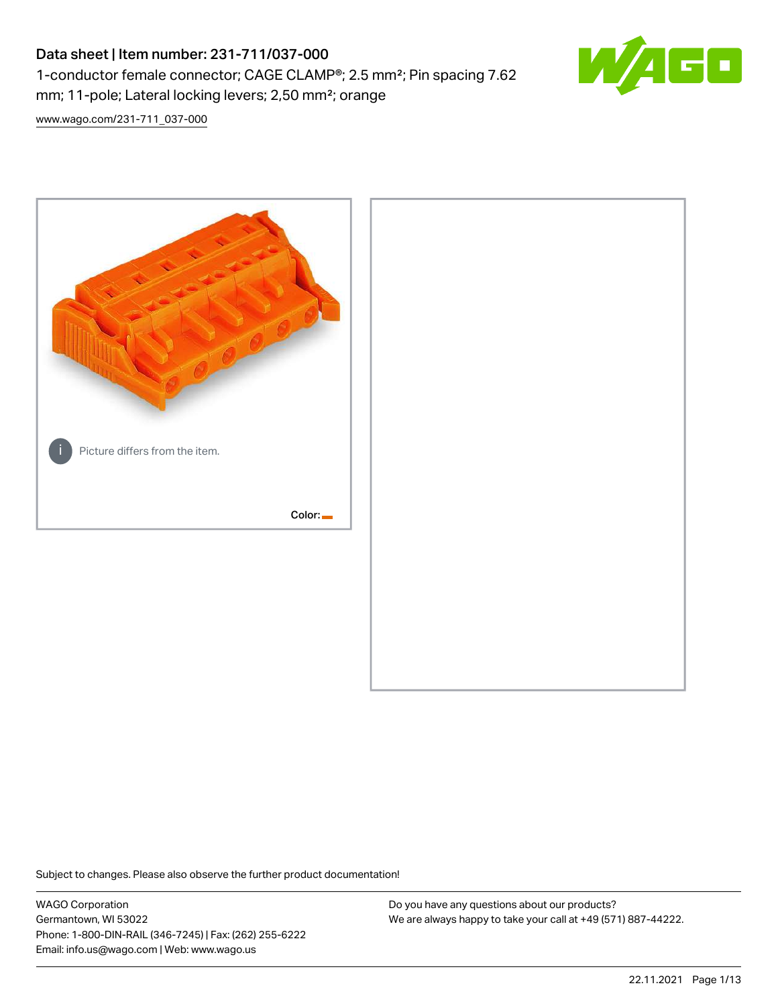# Data sheet | Item number: 231-711/037-000 1-conductor female connector; CAGE CLAMP®; 2.5 mm²; Pin spacing 7.62 mm; 11-pole; Lateral locking levers; 2,50 mm²; orange



[www.wago.com/231-711\\_037-000](http://www.wago.com/231-711_037-000)



Subject to changes. Please also observe the further product documentation!

WAGO Corporation Germantown, WI 53022 Phone: 1-800-DIN-RAIL (346-7245) | Fax: (262) 255-6222 Email: info.us@wago.com | Web: www.wago.us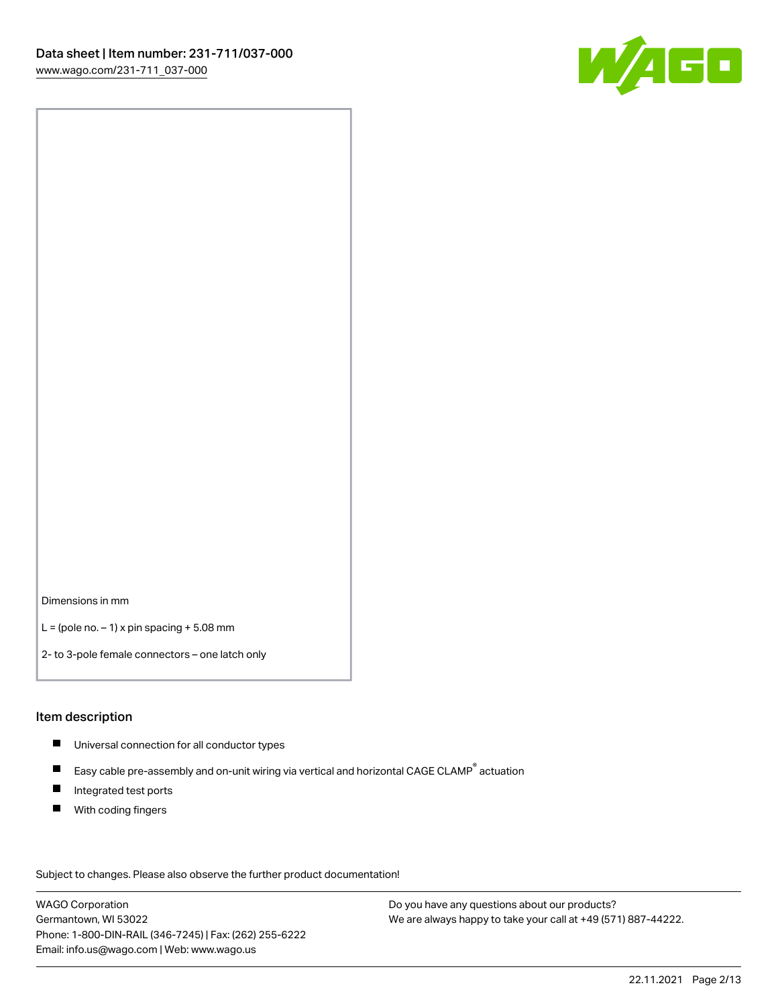

Dimensions in mm

 $L =$  (pole no.  $-1$ ) x pin spacing  $+5.08$  mm

2- to 3-pole female connectors – one latch only

#### Item description

- **Universal connection for all conductor types**
- Easy cable pre-assembly and on-unit wiring via vertical and horizontal CAGE CLAMP<sup>®</sup> actuation  $\blacksquare$
- $\blacksquare$ Integrated test ports
- $\blacksquare$ With coding fingers

Subject to changes. Please also observe the further product documentation! Data

WAGO Corporation Germantown, WI 53022 Phone: 1-800-DIN-RAIL (346-7245) | Fax: (262) 255-6222 Email: info.us@wago.com | Web: www.wago.us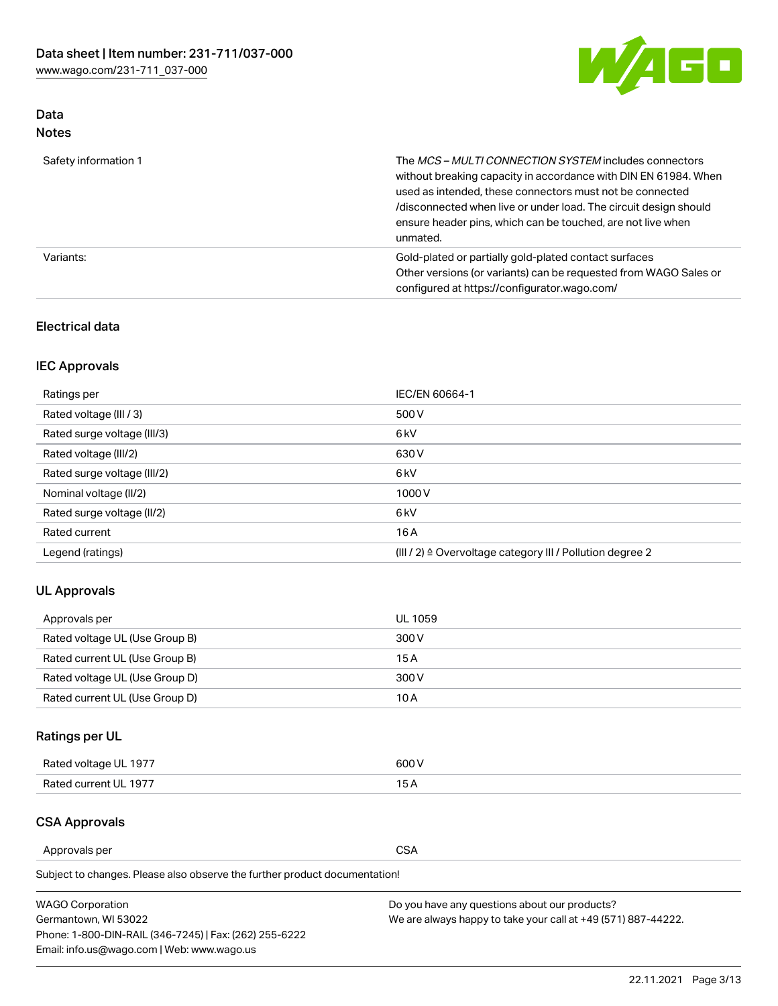

# Data Notes

| Safety information 1 | The MCS-MULTI CONNECTION SYSTEM includes connectors<br>without breaking capacity in accordance with DIN EN 61984. When<br>used as intended, these connectors must not be connected<br>/disconnected when live or under load. The circuit design should<br>ensure header pins, which can be touched, are not live when<br>unmated. |
|----------------------|-----------------------------------------------------------------------------------------------------------------------------------------------------------------------------------------------------------------------------------------------------------------------------------------------------------------------------------|
| Variants:            | Gold-plated or partially gold-plated contact surfaces<br>Other versions (or variants) can be requested from WAGO Sales or<br>configured at https://configurator.wago.com/                                                                                                                                                         |

### Electrical data

# IEC Approvals

| Ratings per                 | IEC/EN 60664-1                                                        |
|-----------------------------|-----------------------------------------------------------------------|
| Rated voltage (III / 3)     | 500 V                                                                 |
| Rated surge voltage (III/3) | 6 <sub>kV</sub>                                                       |
| Rated voltage (III/2)       | 630 V                                                                 |
| Rated surge voltage (III/2) | 6 <sub>kV</sub>                                                       |
| Nominal voltage (II/2)      | 1000V                                                                 |
| Rated surge voltage (II/2)  | 6 <sub>kV</sub>                                                       |
| Rated current               | 16A                                                                   |
| Legend (ratings)            | $(III / 2)$ $\triangle$ Overvoltage category III / Pollution degree 2 |

### UL Approvals

| Approvals per                  | UL 1059 |
|--------------------------------|---------|
| Rated voltage UL (Use Group B) | 300 V   |
| Rated current UL (Use Group B) | 15 A    |
| Rated voltage UL (Use Group D) | 300 V   |
| Rated current UL (Use Group D) | 10 A    |

# Ratings per UL

| Rated voltage UL 1977 | 300 V |
|-----------------------|-------|
| Rated current UL 1977 |       |

#### CSA Approvals

Approvals per CSA

Subject to changes. Please also observe the further product documentation!

| <b>WAGO Corporation</b>                                | Do you have any questions about our products?                 |
|--------------------------------------------------------|---------------------------------------------------------------|
| Germantown, WI 53022                                   | We are always happy to take your call at +49 (571) 887-44222. |
| Phone: 1-800-DIN-RAIL (346-7245)   Fax: (262) 255-6222 |                                                               |
| Email: info.us@wago.com   Web: www.wago.us             |                                                               |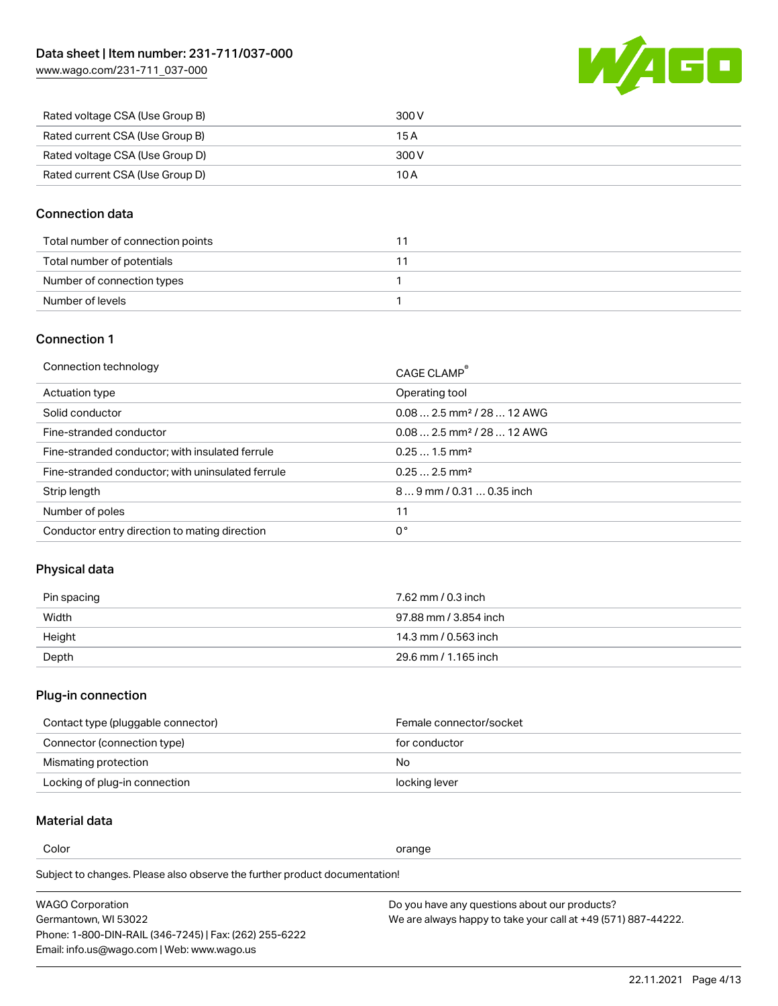[www.wago.com/231-711\\_037-000](http://www.wago.com/231-711_037-000)



| Rated voltage CSA (Use Group B) | 300 V |
|---------------------------------|-------|
| Rated current CSA (Use Group B) | 15 A  |
| Rated voltage CSA (Use Group D) | 300 V |
| Rated current CSA (Use Group D) | 10 A  |

#### Connection data

| Total number of connection points |  |
|-----------------------------------|--|
| Total number of potentials        |  |
| Number of connection types        |  |
| Number of levels                  |  |

#### Connection 1

| Connection technology                             | CAGE CLAMP®                             |
|---------------------------------------------------|-----------------------------------------|
| Actuation type                                    | Operating tool                          |
| Solid conductor                                   | $0.08$ 2.5 mm <sup>2</sup> / 28  12 AWG |
| Fine-stranded conductor                           | $0.082.5$ mm <sup>2</sup> / 28  12 AWG  |
| Fine-stranded conductor; with insulated ferrule   | $0.251.5$ mm <sup>2</sup>               |
| Fine-stranded conductor; with uninsulated ferrule | $0.252.5$ mm <sup>2</sup>               |
| Strip length                                      | $89$ mm / 0.31  0.35 inch               |
| Number of poles                                   | 11                                      |
| Conductor entry direction to mating direction     | 0°                                      |
|                                                   |                                         |

# Physical data

| Pin spacing | 7.62 mm / 0.3 inch    |
|-------------|-----------------------|
| Width       | 97.88 mm / 3.854 inch |
| Height      | 14.3 mm / 0.563 inch  |
| Depth       | 29.6 mm / 1.165 inch  |

#### Plug-in connection

| Contact type (pluggable connector) | Female connector/socket |
|------------------------------------|-------------------------|
| Connector (connection type)        | for conductor           |
| Mismating protection               | No.                     |
| Locking of plug-in connection      | locking lever           |

# Material data

Color contracts and contracts of the contracts of the contracts of the contracts of the contracts of the contracts of the contracts of the contracts of the contracts of the contracts of the contracts of the contracts of th

Subject to changes. Please also observe the further product documentation! Material group I

| <b>WAGO Corporation</b>                                | Do you have any questions about our products?                 |
|--------------------------------------------------------|---------------------------------------------------------------|
| Germantown, WI 53022                                   | We are always happy to take your call at +49 (571) 887-44222. |
| Phone: 1-800-DIN-RAIL (346-7245)   Fax: (262) 255-6222 |                                                               |
| Email: info.us@wago.com   Web: www.wago.us             |                                                               |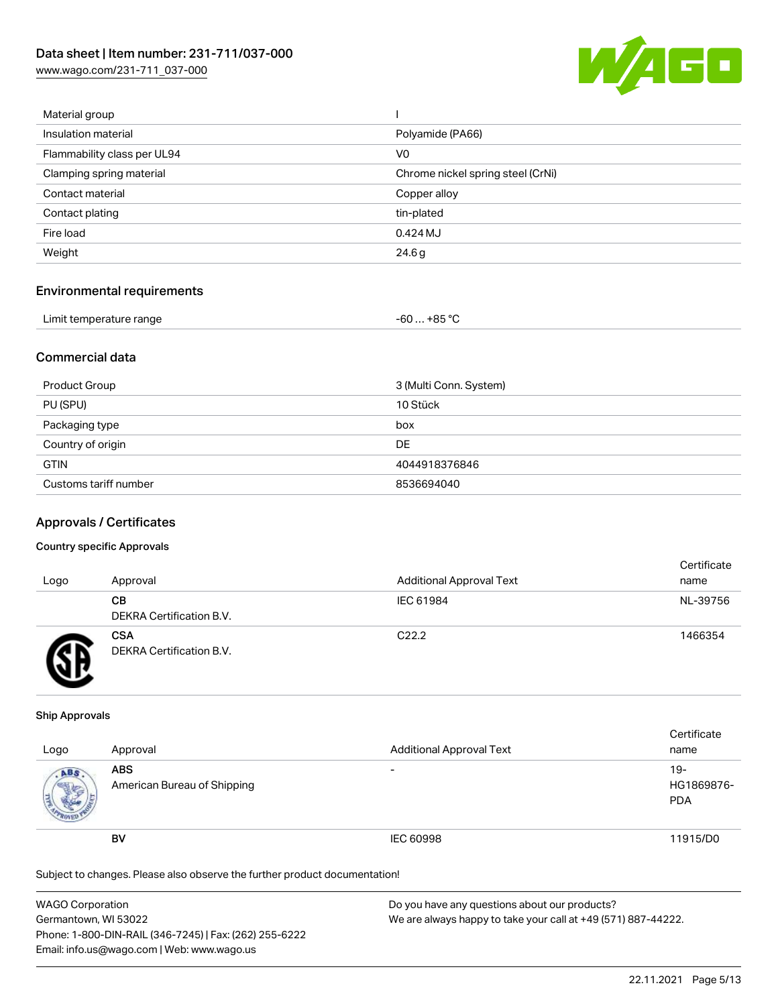[www.wago.com/231-711\\_037-000](http://www.wago.com/231-711_037-000)



| Material group              |                                   |
|-----------------------------|-----------------------------------|
| Insulation material         | Polyamide (PA66)                  |
| Flammability class per UL94 | V <sub>0</sub>                    |
| Clamping spring material    | Chrome nickel spring steel (CrNi) |
| Contact material            | Copper alloy                      |
| Contact plating             | tin-plated                        |
| Fire load                   | 0.424 MJ                          |
| Weight                      | 24.6g                             |
|                             |                                   |

#### Environmental requirements

| Limit temperature range | $-60+85 °C$ |  |
|-------------------------|-------------|--|
|-------------------------|-------------|--|

#### Commercial data

| Product Group         | 3 (Multi Conn. System) |
|-----------------------|------------------------|
| PU (SPU)              | 10 Stück               |
| Packaging type        | box                    |
| Country of origin     | <b>DE</b>              |
| <b>GTIN</b>           | 4044918376846          |
| Customs tariff number | 8536694040             |

#### Approvals / Certificates

#### Country specific Approvals

| Logo | Approval                               | <b>Additional Approval Text</b> | Certificate<br>name |
|------|----------------------------------------|---------------------------------|---------------------|
|      | CВ<br>DEKRA Certification B.V.         | IEC 61984                       | NL-39756            |
|      | <b>CSA</b><br>DEKRA Certification B.V. | C <sub>22.2</sub>               | 1466354             |

#### Ship Approvals

| Logo | Approval                                  | <b>Additional Approval Text</b> | Certificate<br>name               |
|------|-------------------------------------------|---------------------------------|-----------------------------------|
| ABS  | <b>ABS</b><br>American Bureau of Shipping | $\overline{\phantom{0}}$        | $19-$<br>HG1869876-<br><b>PDA</b> |
|      | BV                                        | IEC 60998                       | 11915/D0                          |

Subject to changes. Please also observe the further product documentation!

| <b>WAGO Corporation</b>                                | Do you have any questions about our products?                 |
|--------------------------------------------------------|---------------------------------------------------------------|
| Germantown, WI 53022                                   | We are always happy to take your call at +49 (571) 887-44222. |
| Phone: 1-800-DIN-RAIL (346-7245)   Fax: (262) 255-6222 |                                                               |
| Email: info.us@wago.com   Web: www.wago.us             |                                                               |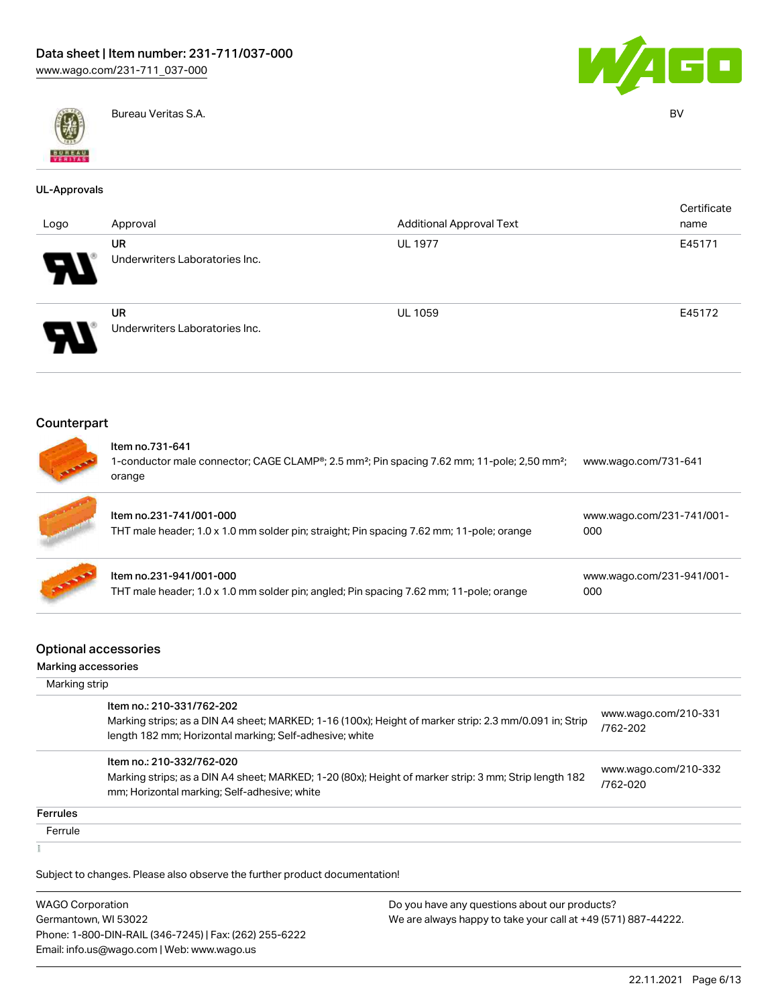



Bureau Veritas S.A. BV

#### UL-Approvals

| Logo                  | Approval                                    | <b>Additional Approval Text</b> | Certificate<br>name |
|-----------------------|---------------------------------------------|---------------------------------|---------------------|
| ГV                    | UR<br>Underwriters Laboratories Inc.        | <b>UL 1977</b>                  | E45171              |
| $\boldsymbol{\theta}$ | <b>UR</b><br>Underwriters Laboratories Inc. | <b>UL 1059</b>                  | E45172              |

#### Counterpart



# Item no.731-641

1-conductor male connector; CAGE CLAMP®; 2.5 mm²; Pin spacing 7.62 mm; 11-pole; 2,50 mm²; [www.wago.com/731-641](https://www.wago.com/731-641) orange

| Item no.231-741/001-000<br>THT male header; 1.0 x 1.0 mm solder pin; straight; Pin spacing 7.62 mm; 11-pole; orange | www.wago.com/231-741/001-<br>000 |
|---------------------------------------------------------------------------------------------------------------------|----------------------------------|
| Item no.231-941/001-000<br>THT male header; 1.0 x 1.0 mm solder pin; angled; Pin spacing 7.62 mm; 11-pole; orange   | www.wago.com/231-941/001-<br>000 |

#### Optional accessories

# Marking accessories

|                 | Marking strip                                                                                                                                                                                  |                                  |  |  |  |
|-----------------|------------------------------------------------------------------------------------------------------------------------------------------------------------------------------------------------|----------------------------------|--|--|--|
|                 | Item no.: 210-331/762-202<br>Marking strips; as a DIN A4 sheet; MARKED; 1-16 (100x); Height of marker strip: 2.3 mm/0.091 in; Strip<br>length 182 mm; Horizontal marking; Self-adhesive; white | www.wago.com/210-331<br>/762-202 |  |  |  |
|                 | Item no.: 210-332/762-020<br>Marking strips; as a DIN A4 sheet; MARKED; 1-20 (80x); Height of marker strip: 3 mm; Strip length 182<br>mm; Horizontal marking; Self-adhesive; white             | www.wago.com/210-332<br>/762-020 |  |  |  |
| <b>Ferrules</b> |                                                                                                                                                                                                |                                  |  |  |  |
| Ferrule         |                                                                                                                                                                                                |                                  |  |  |  |
|                 |                                                                                                                                                                                                |                                  |  |  |  |

Subject to changes. Please also observe the further product documentation!

WAGO Corporation Germantown, WI 53022 Phone: 1-800-DIN-RAIL (346-7245) | Fax: (262) 255-6222 Email: info.us@wago.com | Web: www.wago.us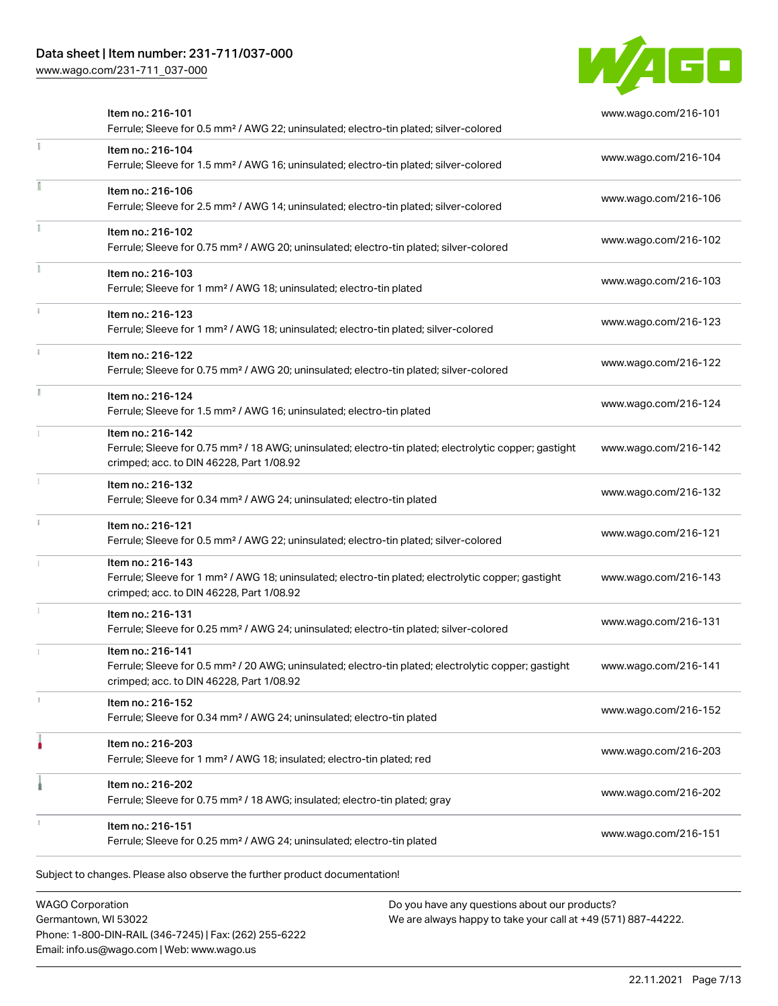# Data sheet | Item number: 231-711/037-000

[www.wago.com/231-711\\_037-000](http://www.wago.com/231-711_037-000)



| Item no.: 216-101<br>Ferrule; Sleeve for 0.5 mm <sup>2</sup> / AWG 22; uninsulated; electro-tin plated; silver-colored                                                             | www.wago.com/216-101 |
|------------------------------------------------------------------------------------------------------------------------------------------------------------------------------------|----------------------|
| Item no.: 216-104<br>Ferrule; Sleeve for 1.5 mm <sup>2</sup> / AWG 16; uninsulated; electro-tin plated; silver-colored                                                             | www.wago.com/216-104 |
| Item no.: 216-106<br>Ferrule; Sleeve for 2.5 mm <sup>2</sup> / AWG 14; uninsulated; electro-tin plated; silver-colored                                                             | www.wago.com/216-106 |
| Item no.: 216-102<br>Ferrule; Sleeve for 0.75 mm <sup>2</sup> / AWG 20; uninsulated; electro-tin plated; silver-colored                                                            | www.wago.com/216-102 |
| Item no.: 216-103<br>Ferrule; Sleeve for 1 mm <sup>2</sup> / AWG 18; uninsulated; electro-tin plated                                                                               | www.wago.com/216-103 |
| Item no.: 216-123<br>Ferrule; Sleeve for 1 mm <sup>2</sup> / AWG 18; uninsulated; electro-tin plated; silver-colored                                                               | www.wago.com/216-123 |
| Item no.: 216-122<br>Ferrule; Sleeve for 0.75 mm <sup>2</sup> / AWG 20; uninsulated; electro-tin plated; silver-colored                                                            | www.wago.com/216-122 |
| Item no.: 216-124<br>Ferrule; Sleeve for 1.5 mm <sup>2</sup> / AWG 16; uninsulated; electro-tin plated                                                                             | www.wago.com/216-124 |
| Item no.: 216-142<br>Ferrule; Sleeve for 0.75 mm <sup>2</sup> / 18 AWG; uninsulated; electro-tin plated; electrolytic copper; gastight<br>crimped; acc. to DIN 46228, Part 1/08.92 | www.wago.com/216-142 |
| Item no.: 216-132<br>Ferrule; Sleeve for 0.34 mm <sup>2</sup> / AWG 24; uninsulated; electro-tin plated                                                                            | www.wago.com/216-132 |
| Item no.: 216-121<br>Ferrule; Sleeve for 0.5 mm <sup>2</sup> / AWG 22; uninsulated; electro-tin plated; silver-colored                                                             | www.wago.com/216-121 |
| Item no.: 216-143<br>Ferrule; Sleeve for 1 mm <sup>2</sup> / AWG 18; uninsulated; electro-tin plated; electrolytic copper; gastight<br>crimped; acc. to DIN 46228, Part 1/08.92    | www.wago.com/216-143 |
| Item no.: 216-131<br>Ferrule; Sleeve for 0.25 mm <sup>2</sup> / AWG 24; uninsulated; electro-tin plated; silver-colored                                                            | www.wago.com/216-131 |
| Item no.: 216-141<br>Ferrule; Sleeve for 0.5 mm <sup>2</sup> / 20 AWG; uninsulated; electro-tin plated; electrolytic copper; gastight<br>crimped; acc. to DIN 46228, Part 1/08.92  | www.wago.com/216-141 |
| Item no.: 216-152<br>Ferrule; Sleeve for 0.34 mm <sup>2</sup> / AWG 24; uninsulated; electro-tin plated                                                                            | www.wago.com/216-152 |
| Item no.: 216-203<br>Ferrule; Sleeve for 1 mm <sup>2</sup> / AWG 18; insulated; electro-tin plated; red                                                                            | www.wago.com/216-203 |
| Item no.: 216-202<br>Ferrule; Sleeve for 0.75 mm <sup>2</sup> / 18 AWG; insulated; electro-tin plated; gray                                                                        | www.wago.com/216-202 |
| Item no.: 216-151<br>Ferrule; Sleeve for 0.25 mm <sup>2</sup> / AWG 24; uninsulated; electro-tin plated                                                                            | www.wago.com/216-151 |

WAGO Corporation Germantown, WI 53022 Phone: 1-800-DIN-RAIL (346-7245) | Fax: (262) 255-6222 Email: info.us@wago.com | Web: www.wago.us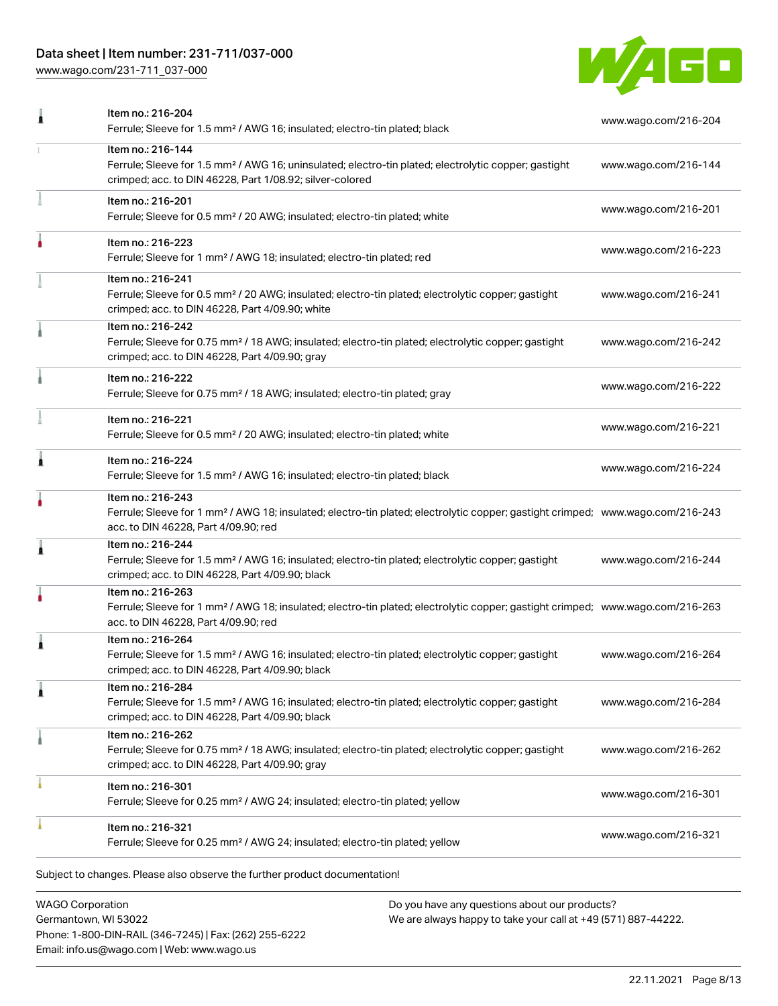# Data sheet | Item number: 231-711/037-000

[www.wago.com/231-711\\_037-000](http://www.wago.com/231-711_037-000)



| Item no.: 216-204<br>Ferrule; Sleeve for 1.5 mm <sup>2</sup> / AWG 16; insulated; electro-tin plated; black                                                                                             | www.wago.com/216-204 |
|---------------------------------------------------------------------------------------------------------------------------------------------------------------------------------------------------------|----------------------|
| Item no.: 216-144<br>Ferrule; Sleeve for 1.5 mm <sup>2</sup> / AWG 16; uninsulated; electro-tin plated; electrolytic copper; gastight<br>crimped; acc. to DIN 46228, Part 1/08.92; silver-colored       | www.wago.com/216-144 |
| Item no.: 216-201<br>Ferrule; Sleeve for 0.5 mm <sup>2</sup> / 20 AWG; insulated; electro-tin plated; white                                                                                             | www.wago.com/216-201 |
| Item no.: 216-223<br>Ferrule; Sleeve for 1 mm <sup>2</sup> / AWG 18; insulated; electro-tin plated; red                                                                                                 | www.wago.com/216-223 |
| Item no.: 216-241<br>Ferrule; Sleeve for 0.5 mm <sup>2</sup> / 20 AWG; insulated; electro-tin plated; electrolytic copper; gastight<br>crimped; acc. to DIN 46228, Part 4/09.90; white                  | www.wago.com/216-241 |
| Item no.: 216-242<br>Ferrule; Sleeve for 0.75 mm <sup>2</sup> / 18 AWG; insulated; electro-tin plated; electrolytic copper; gastight<br>crimped; acc. to DIN 46228, Part 4/09.90; gray                  | www.wago.com/216-242 |
| Item no.: 216-222<br>Ferrule; Sleeve for 0.75 mm <sup>2</sup> / 18 AWG; insulated; electro-tin plated; gray                                                                                             | www.wago.com/216-222 |
| Item no.: 216-221<br>Ferrule; Sleeve for 0.5 mm <sup>2</sup> / 20 AWG; insulated; electro-tin plated; white                                                                                             | www.wago.com/216-221 |
| Item no.: 216-224<br>Ferrule; Sleeve for 1.5 mm <sup>2</sup> / AWG 16; insulated; electro-tin plated; black                                                                                             | www.wago.com/216-224 |
| Item no.: 216-243<br>Ferrule; Sleeve for 1 mm <sup>2</sup> / AWG 18; insulated; electro-tin plated; electrolytic copper; gastight crimped; www.wago.com/216-243<br>acc. to DIN 46228, Part 4/09.90; red |                      |
| Item no.: 216-244<br>Ferrule; Sleeve for 1.5 mm <sup>2</sup> / AWG 16; insulated; electro-tin plated; electrolytic copper; gastight<br>crimped; acc. to DIN 46228, Part 4/09.90; black                  | www.wago.com/216-244 |
| Item no.: 216-263<br>Ferrule; Sleeve for 1 mm <sup>2</sup> / AWG 18; insulated; electro-tin plated; electrolytic copper; gastight crimped; www.wago.com/216-263<br>acc. to DIN 46228, Part 4/09.90; red |                      |
| Item no.: 216-264<br>Ferrule; Sleeve for 1.5 mm <sup>2</sup> / AWG 16; insulated; electro-tin plated; electrolytic copper; gastight<br>crimped; acc. to DIN 46228, Part 4/09.90; black                  | www.wago.com/216-264 |
| Item no.: 216-284<br>Ferrule; Sleeve for 1.5 mm <sup>2</sup> / AWG 16; insulated; electro-tin plated; electrolytic copper; gastight<br>crimped; acc. to DIN 46228, Part 4/09.90; black                  | www.wago.com/216-284 |
| Item no.: 216-262<br>Ferrule; Sleeve for 0.75 mm <sup>2</sup> / 18 AWG; insulated; electro-tin plated; electrolytic copper; gastight<br>crimped; acc. to DIN 46228, Part 4/09.90; gray                  | www.wago.com/216-262 |
| Item no.: 216-301<br>Ferrule; Sleeve for 0.25 mm <sup>2</sup> / AWG 24; insulated; electro-tin plated; yellow                                                                                           | www.wago.com/216-301 |
| Item no.: 216-321<br>Ferrule; Sleeve for 0.25 mm <sup>2</sup> / AWG 24; insulated; electro-tin plated; yellow                                                                                           | www.wago.com/216-321 |
|                                                                                                                                                                                                         |                      |

WAGO Corporation Germantown, WI 53022 Phone: 1-800-DIN-RAIL (346-7245) | Fax: (262) 255-6222 Email: info.us@wago.com | Web: www.wago.us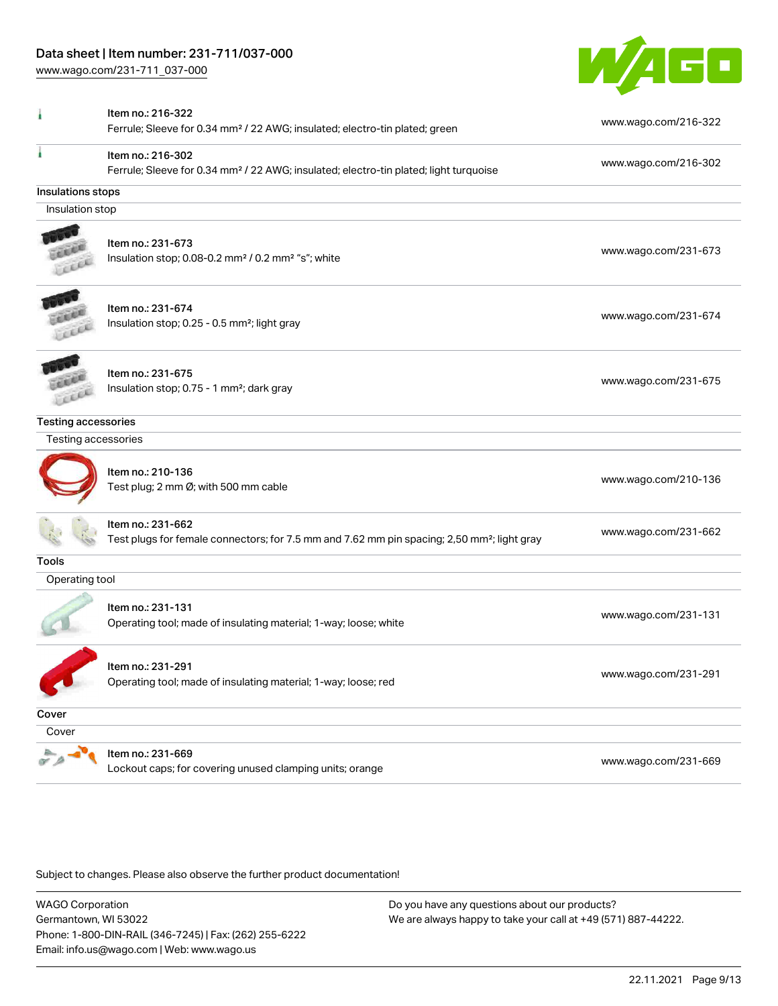[www.wago.com/231-711\\_037-000](http://www.wago.com/231-711_037-000)



|                            | Item no.: 216-322                                                                                       | www.wago.com/216-322 |
|----------------------------|---------------------------------------------------------------------------------------------------------|----------------------|
|                            | Ferrule; Sleeve for 0.34 mm <sup>2</sup> / 22 AWG; insulated; electro-tin plated; green                 |                      |
|                            | Item no.: 216-302                                                                                       | www.wago.com/216-302 |
|                            | Ferrule; Sleeve for 0.34 mm <sup>2</sup> / 22 AWG; insulated; electro-tin plated; light turquoise       |                      |
| Insulations stops          |                                                                                                         |                      |
| Insulation stop            |                                                                                                         |                      |
|                            | Item no.: 231-673                                                                                       |                      |
|                            | Insulation stop; 0.08-0.2 mm <sup>2</sup> / 0.2 mm <sup>2</sup> "s"; white                              | www.wago.com/231-673 |
|                            |                                                                                                         |                      |
|                            | Item no.: 231-674                                                                                       |                      |
|                            | Insulation stop; 0.25 - 0.5 mm <sup>2</sup> ; light gray                                                | www.wago.com/231-674 |
|                            |                                                                                                         |                      |
|                            | Item no.: 231-675                                                                                       |                      |
|                            | Insulation stop; 0.75 - 1 mm <sup>2</sup> ; dark gray                                                   | www.wago.com/231-675 |
|                            |                                                                                                         |                      |
| <b>Testing accessories</b> |                                                                                                         |                      |
| Testing accessories        |                                                                                                         |                      |
|                            | Item no.: 210-136                                                                                       |                      |
|                            | Test plug; 2 mm Ø; with 500 mm cable                                                                    | www.wago.com/210-136 |
|                            | Item no.: 231-662                                                                                       |                      |
|                            | Test plugs for female connectors; for 7.5 mm and 7.62 mm pin spacing; 2,50 mm <sup>2</sup> ; light gray | www.wago.com/231-662 |
| <b>Tools</b>               |                                                                                                         |                      |
| Operating tool             |                                                                                                         |                      |
|                            | Item no.: 231-131                                                                                       |                      |
|                            | Operating tool; made of insulating material; 1-way; loose; white                                        | www.wago.com/231-131 |
|                            |                                                                                                         |                      |
|                            | Item no.: 231-291<br>Operating tool; made of insulating material; 1-way; loose; red                     | www.wago.com/231-291 |
|                            |                                                                                                         |                      |
| Cover                      |                                                                                                         |                      |
| Cover                      |                                                                                                         |                      |
|                            | Item no.: 231-669                                                                                       | www.wago.com/231-669 |
|                            | Lockout caps; for covering unused clamping units; orange                                                |                      |

Subject to changes. Please also observe the further product documentation!

WAGO Corporation Germantown, WI 53022 Phone: 1-800-DIN-RAIL (346-7245) | Fax: (262) 255-6222 Email: info.us@wago.com | Web: www.wago.us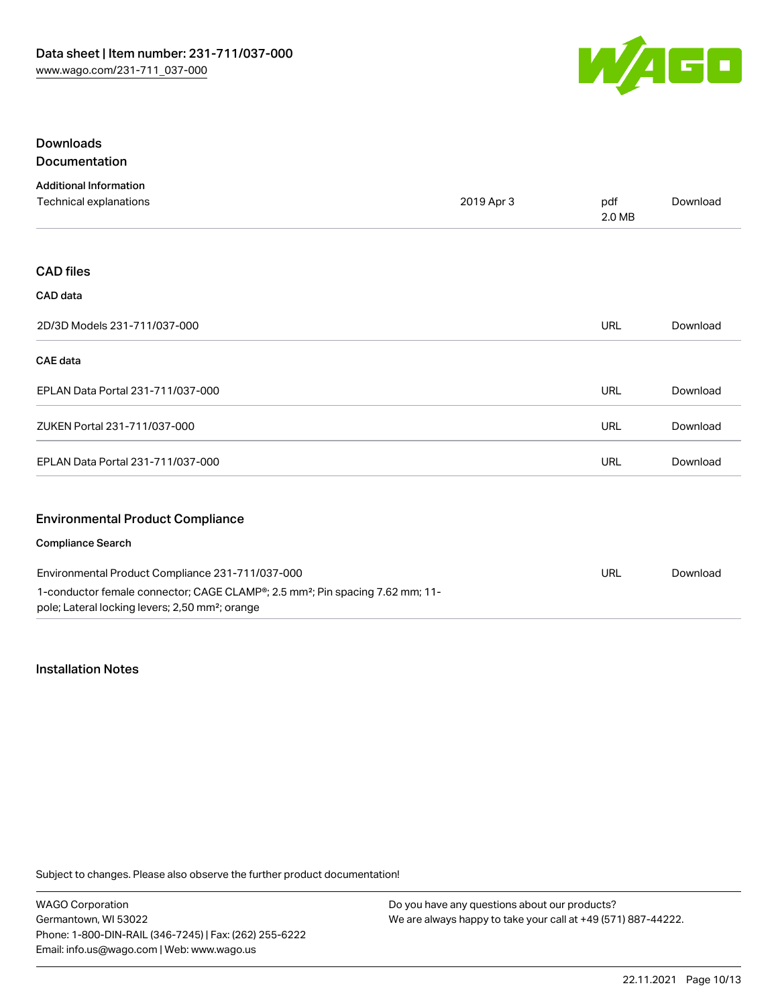

### Downloads Documentation

| <b>Additional Information</b>                                                                                                                            |            |               |          |
|----------------------------------------------------------------------------------------------------------------------------------------------------------|------------|---------------|----------|
| Technical explanations                                                                                                                                   | 2019 Apr 3 | pdf<br>2.0 MB | Download |
|                                                                                                                                                          |            |               |          |
| <b>CAD files</b>                                                                                                                                         |            |               |          |
| CAD data                                                                                                                                                 |            |               |          |
| 2D/3D Models 231-711/037-000                                                                                                                             |            | <b>URL</b>    | Download |
| <b>CAE</b> data                                                                                                                                          |            |               |          |
| EPLAN Data Portal 231-711/037-000                                                                                                                        |            | <b>URL</b>    | Download |
| ZUKEN Portal 231-711/037-000                                                                                                                             |            | <b>URL</b>    | Download |
| EPLAN Data Portal 231-711/037-000                                                                                                                        |            | URL           | Download |
| <b>Environmental Product Compliance</b>                                                                                                                  |            |               |          |
| <b>Compliance Search</b>                                                                                                                                 |            |               |          |
| Environmental Product Compliance 231-711/037-000                                                                                                         |            | <b>URL</b>    | Download |
| 1-conductor female connector; CAGE CLAMP®; 2.5 mm <sup>2</sup> ; Pin spacing 7.62 mm; 11-<br>pole; Lateral locking levers; 2,50 mm <sup>2</sup> ; orange |            |               |          |

### Installation Notes

Subject to changes. Please also observe the further product documentation!

WAGO Corporation Germantown, WI 53022 Phone: 1-800-DIN-RAIL (346-7245) | Fax: (262) 255-6222 Email: info.us@wago.com | Web: www.wago.us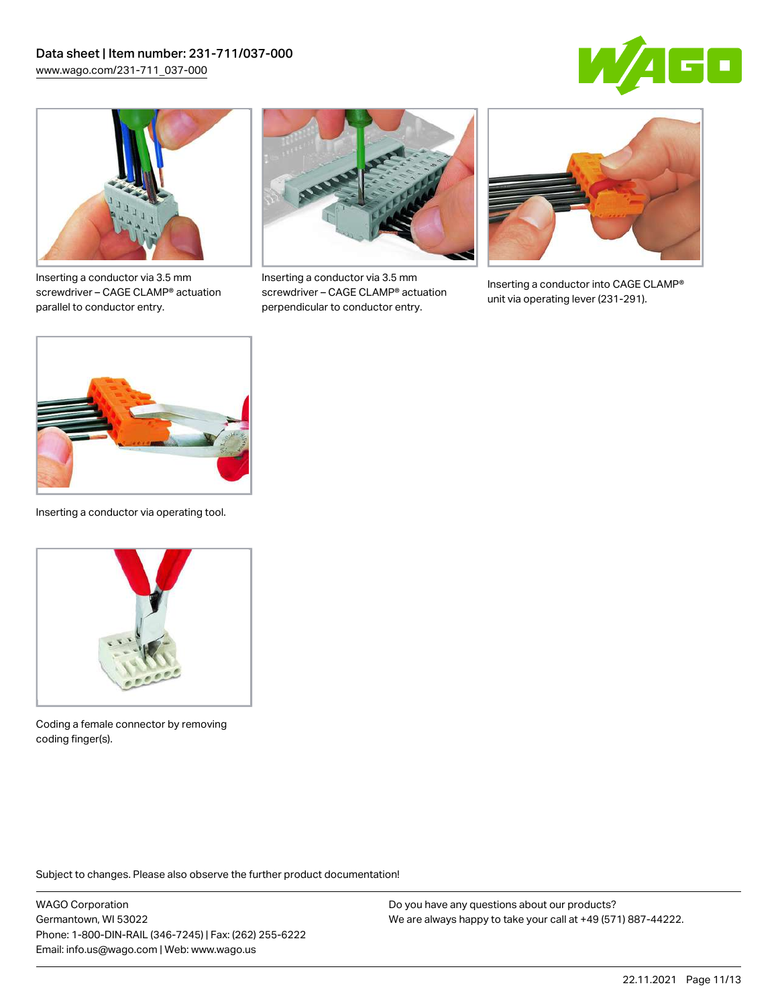



Inserting a conductor via 3.5 mm screwdriver – CAGE CLAMP® actuation parallel to conductor entry.



Inserting a conductor via 3.5 mm screwdriver – CAGE CLAMP® actuation perpendicular to conductor entry.



Inserting a conductor into CAGE CLAMP® unit via operating lever (231-291).



Inserting a conductor via operating tool.



Coding a female connector by removing coding finger(s).

Subject to changes. Please also observe the further product documentation!

WAGO Corporation Germantown, WI 53022 Phone: 1-800-DIN-RAIL (346-7245) | Fax: (262) 255-6222 Email: info.us@wago.com | Web: www.wago.us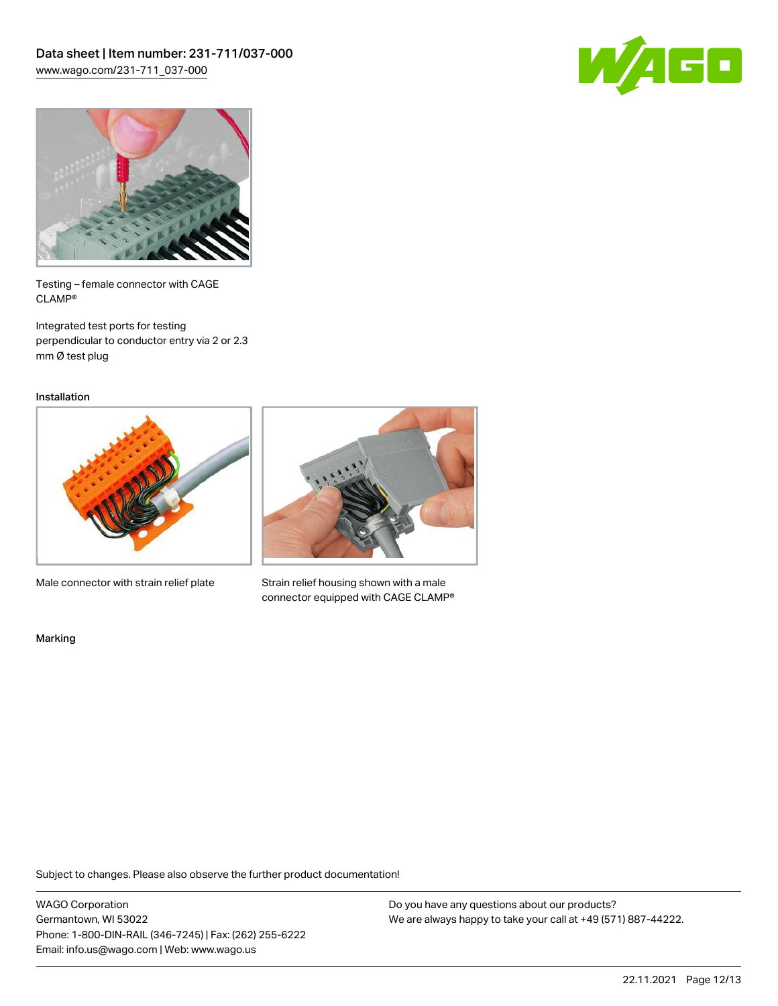



Testing – female connector with CAGE CLAMP®

Integrated test ports for testing perpendicular to conductor entry via 2 or 2.3 mm Ø test plug

Installation



Male connector with strain relief plate



Strain relief housing shown with a male connector equipped with CAGE CLAMP®

Marking

Subject to changes. Please also observe the further product documentation!

WAGO Corporation Germantown, WI 53022 Phone: 1-800-DIN-RAIL (346-7245) | Fax: (262) 255-6222 Email: info.us@wago.com | Web: www.wago.us